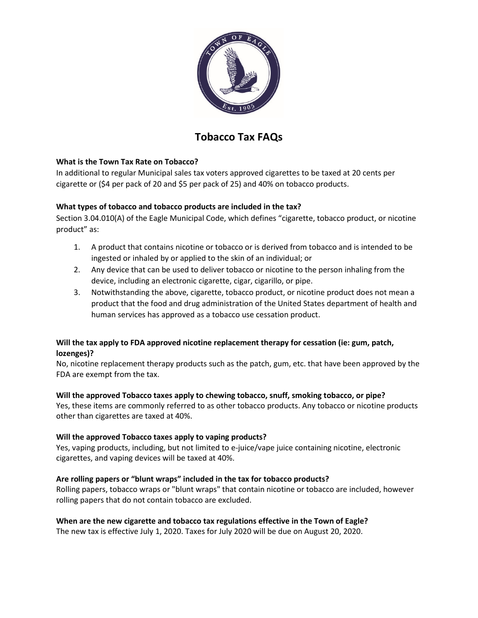

# **Tobacco Tax FAQs**

## **What is the Town Tax Rate on Tobacco?**

In additional to regular Municipal sales tax voters approved cigarettes to be taxed at 20 cents per cigarette or (\$4 per pack of 20 and \$5 per pack of 25) and 40% on tobacco products.

### **What types of tobacco and tobacco products are included in the tax?**

Section 3.04.010(A) of the Eagle Municipal Code, which defines "cigarette, tobacco product, or nicotine product" as:

- 1. A product that contains nicotine or tobacco or is derived from tobacco and is intended to be ingested or inhaled by or applied to the skin of an individual; or
- 2. Any device that can be used to deliver tobacco or nicotine to the person inhaling from the device, including an electronic cigarette, cigar, cigarillo, or pipe.
- 3. Notwithstanding the above, cigarette, tobacco product, or nicotine product does not mean a product that the food and drug administration of the United States department of health and human services has approved as a tobacco use cessation product.

## **Will the tax apply to FDA approved nicotine replacement therapy for cessation (ie: gum, patch, lozenges)?**

No, nicotine replacement therapy products such as the patch, gum, etc. that have been approved by the FDA are exempt from the tax.

### **Will the approved Tobacco taxes apply to chewing tobacco, snuff, smoking tobacco, or pipe?**

Yes, these items are commonly referred to as other tobacco products. Any tobacco or nicotine products other than cigarettes are taxed at 40%.

### **Will the approved Tobacco taxes apply to vaping products?**

Yes, vaping products, including, but not limited to e-juice/vape juice containing nicotine, electronic cigarettes, and vaping devices will be taxed at 40%.

### **Are rolling papers or "blunt wraps" included in the tax for tobacco products?**

Rolling papers, tobacco wraps or "blunt wraps" that contain nicotine or tobacco are included, however rolling papers that do not contain tobacco are excluded.

## **When are the new cigarette and tobacco tax regulations effective in the Town of Eagle?**

The new tax is effective July 1, 2020. Taxes for July 2020 will be due on August 20, 2020.